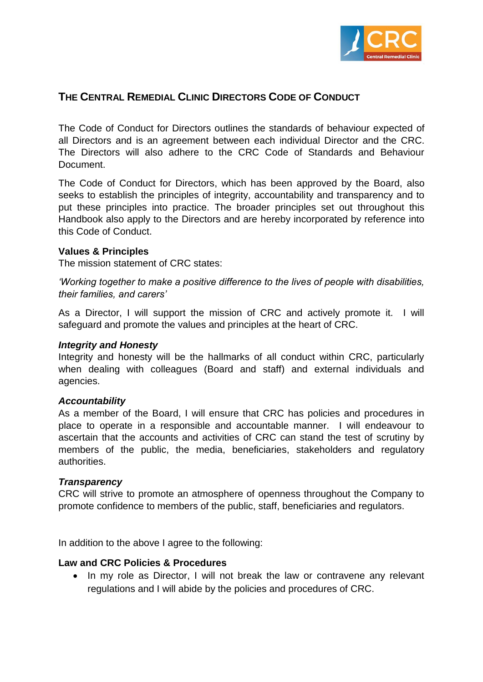

# **THE CENTRAL REMEDIAL CLINIC DIRECTORS CODE OF CONDUCT**

The Code of Conduct for Directors outlines the standards of behaviour expected of all Directors and is an agreement between each individual Director and the CRC. The Directors will also adhere to the CRC Code of Standards and Behaviour **Document** 

The Code of Conduct for Directors, which has been approved by the Board, also seeks to establish the principles of integrity, accountability and transparency and to put these principles into practice. The broader principles set out throughout this Handbook also apply to the Directors and are hereby incorporated by reference into this Code of Conduct.

#### **Values & Principles**

The mission statement of CRC states:

*'Working together to make a positive difference to the lives of people with disabilities, their families, and carers'*

As a Director, I will support the mission of CRC and actively promote it. I will safeguard and promote the values and principles at the heart of CRC.

#### *Integrity and Honesty*

Integrity and honesty will be the hallmarks of all conduct within CRC, particularly when dealing with colleagues (Board and staff) and external individuals and agencies.

#### *Accountability*

As a member of the Board, I will ensure that CRC has policies and procedures in place to operate in a responsible and accountable manner. I will endeavour to ascertain that the accounts and activities of CRC can stand the test of scrutiny by members of the public, the media, beneficiaries, stakeholders and regulatory authorities.

#### *Transparency*

CRC will strive to promote an atmosphere of openness throughout the Company to promote confidence to members of the public, staff, beneficiaries and regulators.

In addition to the above I agree to the following:

#### **Law and CRC Policies & Procedures**

• In my role as Director, I will not break the law or contravene any relevant regulations and I will abide by the policies and procedures of CRC.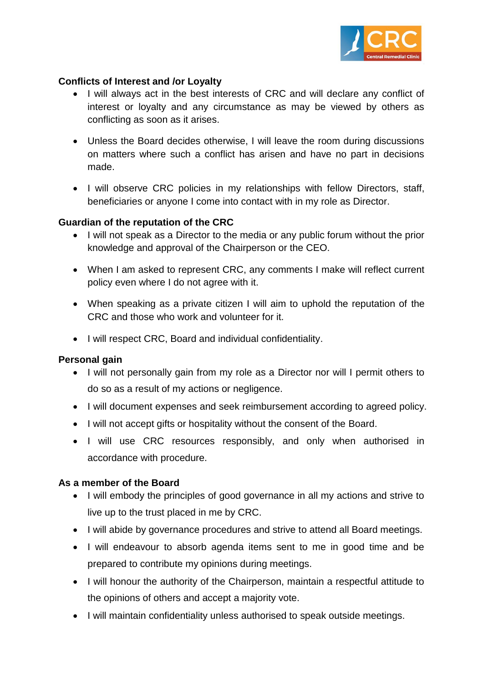

### **Conflicts of Interest and /or Loyalty**

- I will always act in the best interests of CRC and will declare any conflict of interest or loyalty and any circumstance as may be viewed by others as conflicting as soon as it arises.
- Unless the Board decides otherwise, I will leave the room during discussions on matters where such a conflict has arisen and have no part in decisions made.
- I will observe CRC policies in my relationships with fellow Directors, staff, beneficiaries or anyone I come into contact with in my role as Director.

### **Guardian of the reputation of the CRC**

- I will not speak as a Director to the media or any public forum without the prior knowledge and approval of the Chairperson or the CEO.
- When I am asked to represent CRC, any comments I make will reflect current policy even where I do not agree with it.
- When speaking as a private citizen I will aim to uphold the reputation of the CRC and those who work and volunteer for it.
- I will respect CRC, Board and individual confidentiality.

#### **Personal gain**

- I will not personally gain from my role as a Director nor will I permit others to do so as a result of my actions or negligence.
- I will document expenses and seek reimbursement according to agreed policy.
- I will not accept gifts or hospitality without the consent of the Board.
- I will use CRC resources responsibly, and only when authorised in accordance with procedure.

#### **As a member of the Board**

- I will embody the principles of good governance in all my actions and strive to live up to the trust placed in me by CRC.
- I will abide by governance procedures and strive to attend all Board meetings.
- I will endeavour to absorb agenda items sent to me in good time and be prepared to contribute my opinions during meetings.
- I will honour the authority of the Chairperson, maintain a respectful attitude to the opinions of others and accept a majority vote.
- I will maintain confidentiality unless authorised to speak outside meetings.